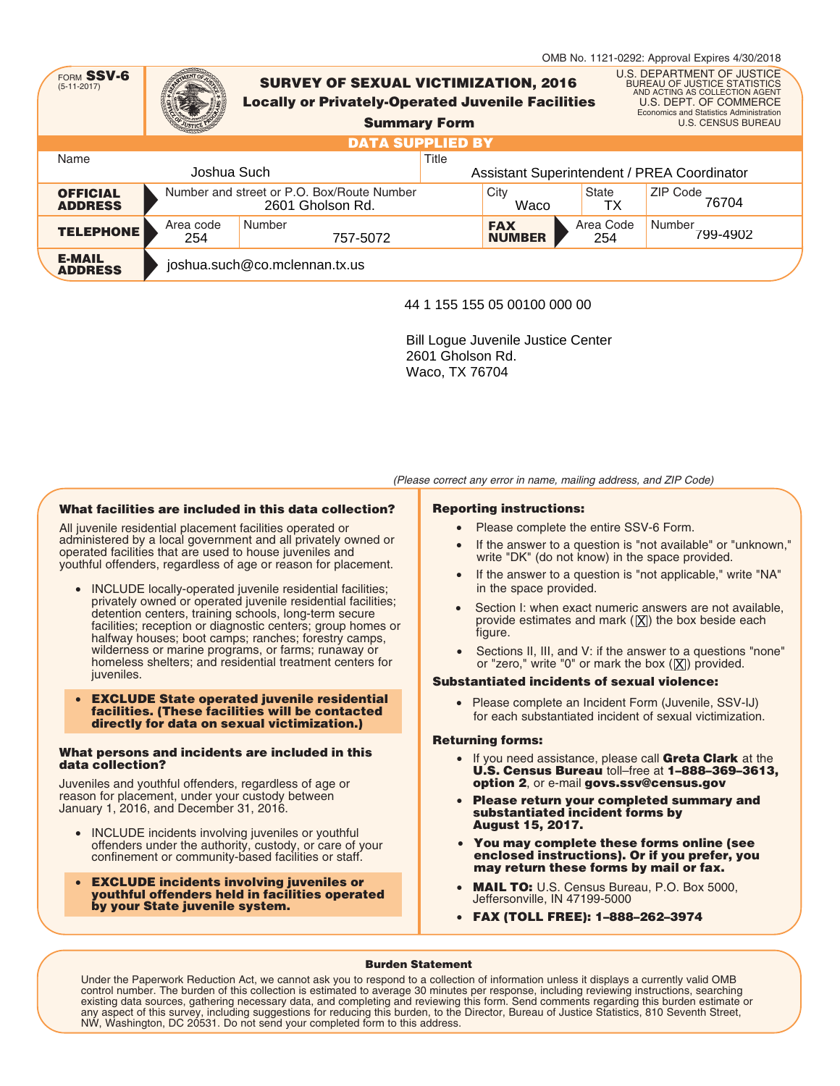|                                                            |                  |                                                                                                                                |       |                             |                  | OMB No. 1121-0292: Approval Expires 4/30/2018                                                                                                                                                         |
|------------------------------------------------------------|------------------|--------------------------------------------------------------------------------------------------------------------------------|-------|-----------------------------|------------------|-------------------------------------------------------------------------------------------------------------------------------------------------------------------------------------------------------|
| FORM SSV-6<br>$(5-11-2017)$                                |                  | <b>SURVEY OF SEXUAL VICTIMIZATION, 2016</b><br><b>Locally or Privately-Operated Juvenile Facilities</b><br><b>Summary Form</b> |       |                             |                  | U.S. DEPARTMENT OF JUSTICE<br><b>BUREAU OF JUSTICE STATISTICS</b><br>AND ACTING AS COLLECTION AGENT<br>U.S. DEPT. OF COMMERCE<br>Economics and Statistics Administration<br><b>U.S. CENSUS BUREAU</b> |
|                                                            |                  | <b>DATA SUPPLIED BY</b>                                                                                                        |       |                             |                  |                                                                                                                                                                                                       |
| Name                                                       |                  |                                                                                                                                | Title |                             |                  |                                                                                                                                                                                                       |
| Joshua Such<br>Assistant Superintendent / PREA Coordinator |                  |                                                                                                                                |       |                             |                  |                                                                                                                                                                                                       |
| <b>OFFICIAL</b><br><b>ADDRESS</b>                          |                  | Number and street or P.O. Box/Route Number<br>2601 Gholson Rd.                                                                 |       | City<br>Waco                | State<br>ТΧ      | ZIP Code 76704                                                                                                                                                                                        |
| <b>TELEPHONE</b>                                           | Area code<br>254 | Number<br>757-5072                                                                                                             |       | <b>FAX</b><br><b>NUMBER</b> | Area Code<br>254 | Number<br>799-4902                                                                                                                                                                                    |
| <b>E-MAIL</b><br><b>ADDRESS</b>                            |                  | joshua.such@co.mclennan.tx.us                                                                                                  |       |                             |                  |                                                                                                                                                                                                       |

## 44 1 155 155 05 00100 000 00

Bill Logue Juvenile Justice Center 2601 Gholson Rd. Waco, TX 76704

### *(Please correct any error in name, mailing address, and ZIP Code)*

### **What facilities are included in this data collection?**

All juvenile residential placement facilities operated or administered by a local government and all privately owned or operated facilities that are used to house juveniles and youthful offenders, regardless of age or reason for placement.

- INCLUDE locally-operated juvenile residential facilities; privately owned or operated juvenile residential facilities; detention centers, training schools, long-term secure facilities; reception or diagnostic centers; group homes or halfway houses; boot camps; ranches; forestry camps, wilderness or marine programs, or farms; runaway or homeless shelters; and residential treatment centers for juveniles.
- **EXCLUDE State operated juvenile residential facilities. (These facilities will be contacted directly for data on sexual victimization.)**

### **What persons and incidents are included in this data collection?**

Juveniles and youthful offenders, regardless of age or reason for placement, under your custody between January 1, 2016, and December 31, 2016.

- INCLUDE incidents involving juveniles or youthful offenders under the authority, custody, or care of your confinement or community-based facilities or staff.
- **EXCLUDE incidents involving juveniles or youthful offenders held in facilities operated by your State juvenile system.**

### **Reporting instructions:**

- Please complete the entire SSV-6 Form.
- If the answer to a question is "not available" or "unknown," write "DK" (do not know) in the space provided.
- If the answer to a question is "not applicable," write "NA" in the space provided.
- Section I: when exact numeric answers are not available, provide estimates and mark ( $|X|$ ) the box beside each figure.
- Sections II, III, and V: if the answer to a questions "none" or "zero," write "0" or mark the box  $(\underline{\mathsf{X}})$  provided.

## **Substantiated incidents of sexual violence:**

• Please complete an Incident Form (Juvenile, SSV-IJ) for each substantiated incident of sexual victimization.

## **Returning forms:**

- If you need assistance, please call **Greta Clark** at the **U.S. Census Bureau** toll–free at **1–888–369–3613, option 2**, or e-mail **govs.ssv@census.gov**
- **Please return your completed summary and substantiated incident forms by August 15, 2017.**
- **You may complete these forms online (see enclosed instructions). Or if you prefer, you may return these forms by mail or fax.**
- **MAIL TO:** U.S. Census Bureau, P.O. Box 5000, Jeffersonville, IN 47199-5000
- **FAX (TOLL FREE): 1–888–262–3974**

### **Burden Statement**

Under the Paperwork Reduction Act, we cannot ask you to respond to a collection of information unless it displays a currently valid OMB control number. The burden of this collection is estimated to average 30 minutes per response, including reviewing instructions, searching existing data sources, gathering necessary data, and completing and reviewing this form. Send comments regarding this burden estimate or any aspect of this survey, including suggestions for reducing this burden, to the Director, Bureau of Justice Statistics, 810 Seventh Street, NW, Washington, DC 20531. Do not send your completed form to this address.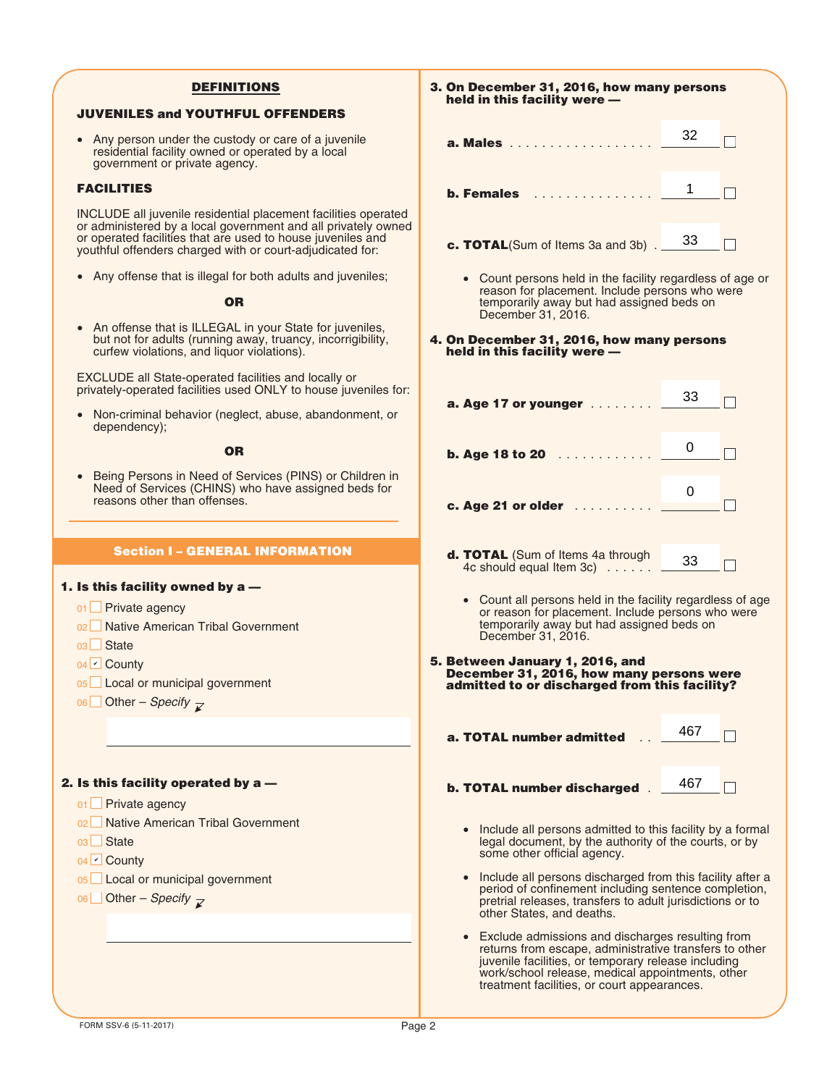#### **DEFINITIONS 3. On December 31, 2016, how many persons held in this facility were — JUVENILES and YOUTHFUL OFFENDERS b. Females** ............... 321 • Any person under the custody or care of a juvenile **a. Males** ..................  $\Box$ residential facility owned or operated by a local government or private agency. **FACILITIES**  $\Box$ INCLUDE all juvenile residential placement facilities operated or administered by a local government and all privately owned or operated facilities that are used to house juveniles and **c. TOTAL**(Sum of Items 3a and 3b) . 33  $rac{33}{10}$  and  $rac{1}{2}$  and  $rac{1}{2}$  and  $rac{1}{2}$  and  $rac{1}{2}$  and  $rac{1}{2}$  and  $rac{1}{2}$  and  $rac{1}{2}$  and  $rac{1}{2}$  and  $rac{1}{2}$  and  $rac{1}{2}$  and  $rac{1}{2}$  and  $rac{1}{2}$  and  $rac{1}{2}$  and  $rac{1}{2}$  and  $rac{1}{2}$  and  $rac{1}{2}$  an  $\Box$ youthful offenders charged with or court-adjudicated for: • Any offense that is illegal for both adults and juveniles; • Count persons held in the facility regardless of age or reason for placement. Include persons who were **OR** temporarily away but had assigned beds on December 31, 2016. • An offense that is ILLEGAL in your State for juveniles, but not for adults (running away, truancy, incorrigibility, **4. On December 31, 2016, how many persons** curfew violations, and liquor violations). **held in this facility were —** EXCLUDE all State-operated facilities and locally or privately-operated facilities used ONLY to house juveniles for: 33  $\Box$ **a. Age 17 or younger** ........ • Non-criminal behavior (neglect, abuse, abandonment, or dependency);  $\mathbf 0$ **OR b. Age 18 to 20** ..............  $\Box$ • Being Persons in Need of Services (PINS) or Children in Need of Services (CHINS) who have assigned beds for  $\Omega$ reasons other than offenses. **c. Age 21 or older** ..........  $\Box$ **Section I – GENERAL INFORMATION d. TOTAL** (Sum of Items 4a through 33  $\Box$ 4c should equal Item 3c) . . . . . . . **1. Is this facility owned by a —** • Count all persons held in the facility regardless of age 01 Derivate agency or reason for placement. Include persons who were temporarily away but had assigned beds on 02 Native American Tribal Government December 31, 2016. 03∟ State **5. Between January 1, 2016, and** 04 County **December 31, 2016, how many persons were** 05 Local or municipal government **admitted to or discharged from this facility?** 06 Other – *Specify* 467  $\Box$ **a. TOTAL number admitted** . . **2. Is this facility operated by a —** 467**b. TOTAL number discharged** .  $\Box$ 01 Private agency 02 Native American Tribal Government • Include all persons admitted to this facility by a formal legal document, by the authority of the courts, or by 03 State some other official agency. 04 County • Include all persons discharged from this facility after a 05 Local or municipal government period of confinement including sentence completion, 06 Other – *Specify* pretrial releases, transfers to adult jurisdictions or to other States, and deaths. Exclude admissions and discharges resulting from returns from escape, administrative transfers to other juvenile facilities, or temporary release including work/school release, medical appointments, other treatment facilities, or court appearances.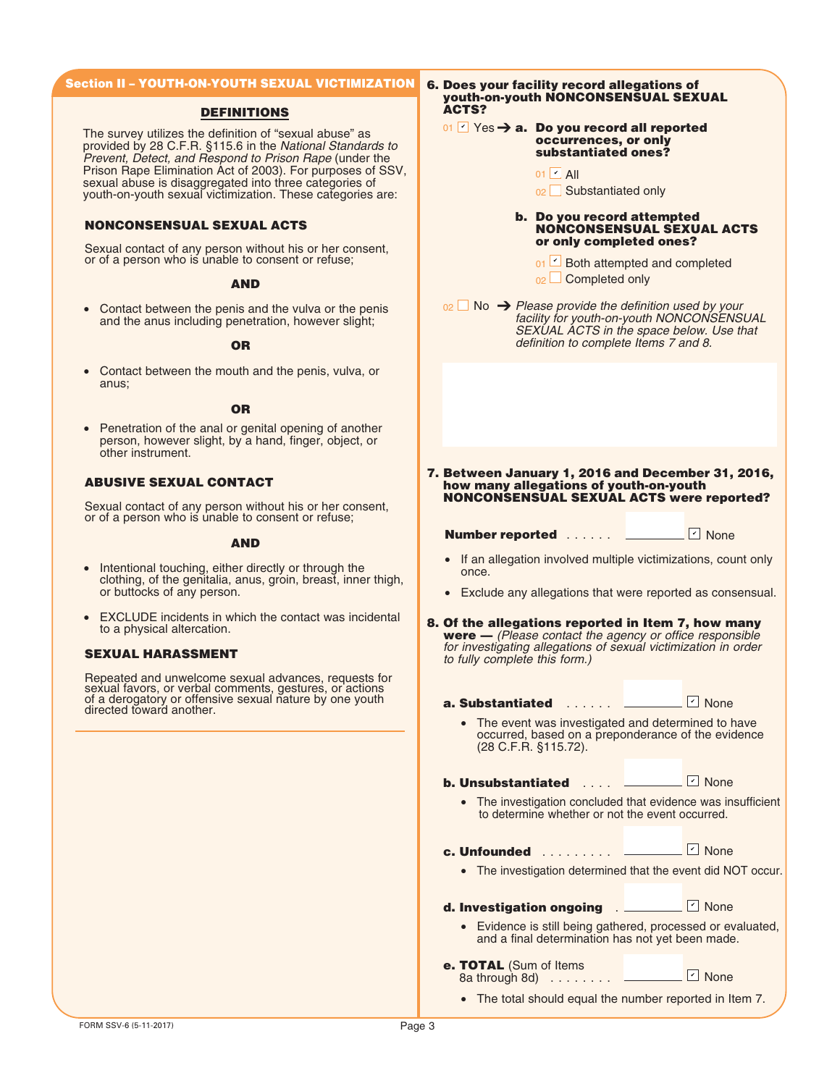### **Section II – YOUTH-ON-YOUTH SEXUAL VICTIMIZATION**

### **DEFINITIONS**

The survey utilizes the definition of "sexual abuse" as provided by 28 C.F.R. §115.6 in the *National Standards to Prevent, Detect, and Respond to Prison Rape* (under the Prison Rape Elimination Act of 2003). For purposes of SSV, sexual abuse is disaggregated into three categories of youth-on-youth sexual victimization. These categories are:

## **NONCONSENSUAL SEXUAL ACTS**

Sexual contact of any person without his or her consent, or of a person who is unable to consent or refuse;

### **AND**

• Contact between the penis and the vulva or the penis and the anus including penetration, however slight;

### **OR**

• Contact between the mouth and the penis, vulva, or anus;

### **OR**

• Penetration of the anal or genital opening of another person, however slight, by a hand, finger, object, or other instrument.

## **ABUSIVE SEXUAL CONTACT**

Sexual contact of any person without his or her consent, or of a person who is unable to consent or refuse;

### **AND**

- Intentional touching, either directly or through the clothing, of the genitalia, anus, groin, breast, inner thigh, or buttocks of any person.
- EXCLUDE incidents in which the contact was incidental to a physical altercation.

# *to fully complete this form.)* **SEXUAL HARASSMENT**

Repeated and unwelcome sexual advances, requests for sexual favors, or verbal comments, gestures, or actions of a derogatory or offensive sexual nature by one youth directed toward another.

### **6. Does your facility record allegations of youth-on-youth NONCONSENSUAL SEXUAL ACTS?**

### **01**  $\triangledown$  Yes → **a.** Do you record all reported **occurrences, or only substantiated ones?**

- 01 <mark>ビ All</mark>
- $_{02}$   $\Box$  Substantiated only

### **b. Do you record attempted NONCONSENSUAL SEXUAL ACTS or only completed ones?**

- o<sub>1</sub> Doth attempted and completed
- $_{02}$   $\Box$  Completed only

No ➔ *Please provide the definition used by your* 02 *facility for youth-on-youth NONCONSENSUAL SEXUAL ACTS in the space below. Use that definition to complete Items 7 and 8.*

**7. Between January 1, 2016 and December 31, 2016, how many allegations of youth-on-youth NONCONSENSUAL SEXUAL ACTS were reported?**

### **Number reported** ...... <u>None</u>

 $\Box$  None

- If an allegation involved multiple victimizations, count only once.
- Exclude any allegations that were reported as consensual.

### **EXOLUDE finderits in which the contact was incluental 8. Of the allegations reported in Item 7, how many**<br>to a physical altercation. **were —** *(Please contact the agency or office responsible for investigating allegations of sexual victimization in order*

**a. Substantiated** ...... <u>의</u> None

The event was investigated and determined to have occurred, based on a preponderance of the evidence (28 C.F.R. §115.72).

**b. Unsubstantiated** .... None ✔

• The investigation concluded that evidence was insufficient to determine whether or not the event occurred.

**c. Unfounded** .........

• The investigation determined that the event did NOT occur.

**d. Investigation ongoing** .

• Evidence is still being gathered, processed or evaluated, and a final determination has not yet been made.

<u>기</u> None

None ✔

- **e. TOTAL** (Sum of Items 8a through 8d) . . . . . . . . -<u>기</u> None
	- The total should equal the number reported in Item 7.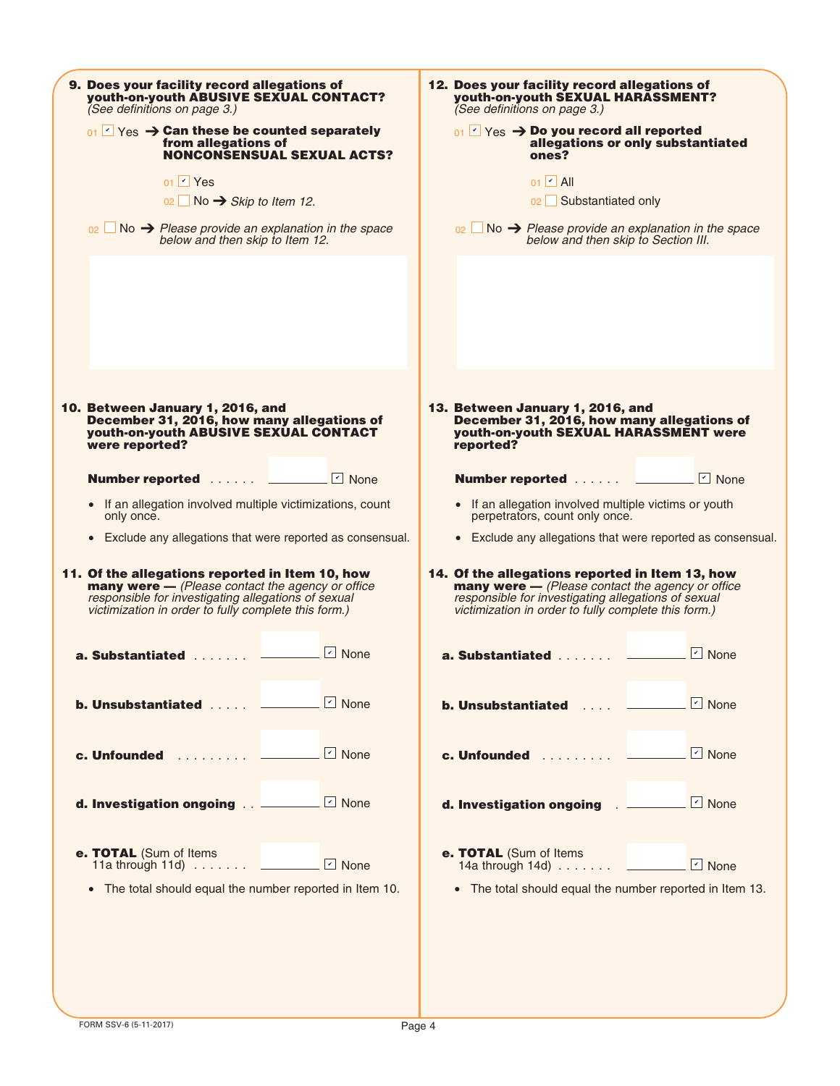| 9. Does your facility record allegations of<br>youth-on-youth ABUSIVE SEXUAL CONTACT?<br>(See definitions on page 3.)<br>$_{01}$ $\vee$ Yes $\rightarrow$ Can these be counted separately<br>from allegations of<br><b>NONCONSENSUAL SEXUAL ACTS?</b><br>$01$ Yes<br>$02 \Box$ No $\rightarrow$ Skip to Item 12.<br>$\Box$ No $\rightarrow$ Please provide an explanation in the space<br>02<br>below and then skip to Item 12. | 12. Does your facility record allegations of<br>youth-on-youth SEXUAL HARASSMENT?<br>(See definitions on page 3.)<br>$_{01}$ $\vee$ Yes $\rightarrow$ Do you record all reported<br>allegations or only substantiated<br>ones?<br>$01$ $\sim$ All<br>02 Substantiated only<br>$_{02}$ No $\rightarrow$ Please provide an explanation in the space<br>below and then skip to Section III. |  |  |
|---------------------------------------------------------------------------------------------------------------------------------------------------------------------------------------------------------------------------------------------------------------------------------------------------------------------------------------------------------------------------------------------------------------------------------|------------------------------------------------------------------------------------------------------------------------------------------------------------------------------------------------------------------------------------------------------------------------------------------------------------------------------------------------------------------------------------------|--|--|
|                                                                                                                                                                                                                                                                                                                                                                                                                                 |                                                                                                                                                                                                                                                                                                                                                                                          |  |  |
| 10. Between January 1, 2016, and<br>December 31, 2016, how many allegations of<br>youth-on-youth ABUSIVE SEXUAL CONTACT<br>were reported?                                                                                                                                                                                                                                                                                       | 13. Between January 1, 2016, and<br>December 31, 2016, how many allegations of<br>youth-on-youth SEXUAL HARASSMENT were<br>reported?                                                                                                                                                                                                                                                     |  |  |
| $\boxed{\triangleright}$ None<br>Number reported <u>_______</u>                                                                                                                                                                                                                                                                                                                                                                 | $\boxed{\phantom{1}}$ None<br>Number reported <u>______</u>                                                                                                                                                                                                                                                                                                                              |  |  |
| If an allegation involved multiple victimizations, count<br>$\bullet$<br>only once.                                                                                                                                                                                                                                                                                                                                             | • If an allegation involved multiple victims or youth<br>perpetrators, count only once.                                                                                                                                                                                                                                                                                                  |  |  |
| • Exclude any allegations that were reported as consensual.                                                                                                                                                                                                                                                                                                                                                                     | • Exclude any allegations that were reported as consensual.                                                                                                                                                                                                                                                                                                                              |  |  |
| 11. Of the allegations reported in Item 10, how<br><b>many were -</b> (Please contact the agency or office<br>responsible for investigating allegations of sexual<br>victimization in order to fully complete this form.)                                                                                                                                                                                                       | 14. Of the allegations reported in Item 13, how<br><b>many were -</b> (Please contact the agency or office<br>responsible for investigating allegations of sexual<br>victimization in order to fully complete this form.)                                                                                                                                                                |  |  |
| $\boxed{\phantom{1}}$ None<br>a. Substantiated _______                                                                                                                                                                                                                                                                                                                                                                          | $\n  None\n$<br>a. Substantiated _________                                                                                                                                                                                                                                                                                                                                               |  |  |
| <b>b. Unsubstantiated EXECUTE:</b> None                                                                                                                                                                                                                                                                                                                                                                                         | <b>b. Unsubstantiated Laterally Report Fig. 10</b> None                                                                                                                                                                                                                                                                                                                                  |  |  |
| <b>c. Unfounded</b> $\Box$ None                                                                                                                                                                                                                                                                                                                                                                                                 | <b>c. Unfounded EXECUTE:</b> None                                                                                                                                                                                                                                                                                                                                                        |  |  |
|                                                                                                                                                                                                                                                                                                                                                                                                                                 |                                                                                                                                                                                                                                                                                                                                                                                          |  |  |
| e. TOTAL (Sum of Items<br>11a through 11d) $\ldots$ $\ldots$ $\Box$ None<br>• The total should equal the number reported in Item 10.                                                                                                                                                                                                                                                                                            | e. TOTAL (Sum of Items<br><b>TOTAL</b> (Surfi of Items<br>14a through 14d) $\ldots \ldots$ $\blacksquare$ None<br>• The total should equal the number reported in Item 13.                                                                                                                                                                                                               |  |  |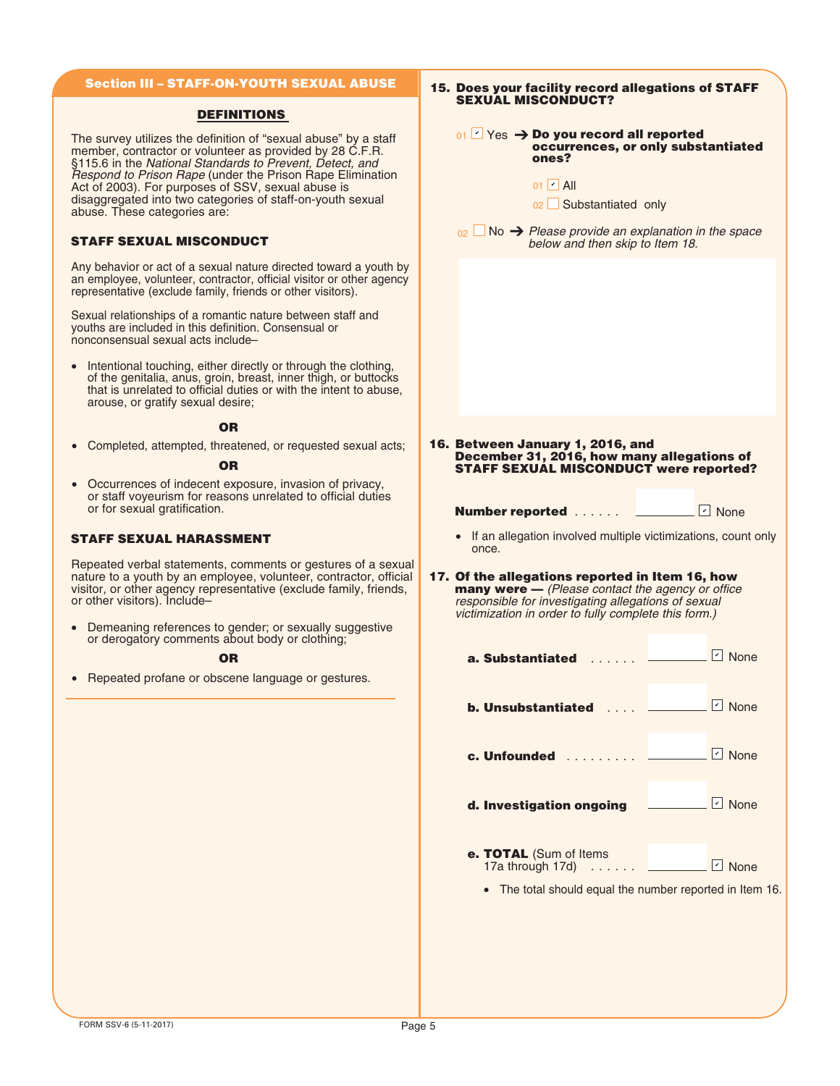### **Section III – STAFF-ON-YOUTH SEXUAL ABUSE**

### **DEFINITIONS**

The survey utilizes the definition of "sexual abuse" by a staff member, contractor or volunteer as provided by 28 C.F.R. §115.6 in the *National Standards to Prevent, Detect, and Respond to Prison Rape* (under the Prison Rape Elimination Act of 2003). For purposes of SSV, sexual abuse is disaggregated into two categories of staff-on-youth sexual abuse. These categories are:

## **STAFF SEXUAL MISCONDUCT**

Any behavior or act of a sexual nature directed toward a youth by an employee, volunteer, contractor, official visitor or other agency representative (exclude family, friends or other visitors).

Sexual relationships of a romantic nature between staff and youths are included in this definition. Consensual or nonconsensual sexual acts include–

• Intentional touching, either directly or through the clothing, of the genitalia, anus, groin, breast, inner thigh, or buttocks that is unrelated to official duties or with the intent to abuse, arouse, or gratify sexual desire;

### **OR**

• Completed, attempted, threatened, or requested sexual acts;

### **OR**

• Occurrences of indecent exposure, invasion of privacy, or staff voyeurism for reasons unrelated to official duties or for sexual gratification.

### **STAFF SEXUAL HARASSMENT**

Repeated verbal statements, comments or gestures of a sexual nature to a youth by an employee, volunteer, contractor, official visitor, or other agency representative (exclude family, friends, or other visitors). Include–

• Demeaning references to gender; or sexually suggestive or derogatory comments about body or clothing;

### **OR**

• Repeated profane or obscene language or gestures.

### **15. Does your facility record allegations of STAFF SEXUAL MISCONDUCT?**

### **01**  $\boxed{v}$  Yes → Do you record all reported **occurrences, or only substantiated ones?**

01 <mark>Y</mark> All

02 Substantiated only

No ➔ *Please provide an explanation in the space* 02 *below and then skip to Item 18.*

**16. Between January 1, 2016, and December 31, 2016, how many allegations of STAFF SEXUAL MISCONDUCT were reported?**

| <b>Number reported Album</b> |  |  | $\lfloor$ $\lfloor$ None |
|------------------------------|--|--|--------------------------|
|------------------------------|--|--|--------------------------|

- If an allegation involved multiple victimizations, count only once.
- **17. Of the allegations reported in Item 16, how many were —** *(Please contact the agency or office responsible for investigating allegations of sexual victimization in order to fully complete this form.)*

| <b>Contract Contract</b><br>a. Substantiated                      | <b>None</b>            |
|-------------------------------------------------------------------|------------------------|
| <b>b. Unsubstantiated</b> <u>_</u>                                | $\vert$ None           |
|                                                                   | $ r $ None             |
| d. Investigation ongoing                                          | $\vert\cdot\vert$ None |
| <b>e. TOTAL</b> (Sum of Items<br>17a through 17d) $\ldots \ldots$ | <b>None</b>            |

• The total should equal the number reported in Item 16.